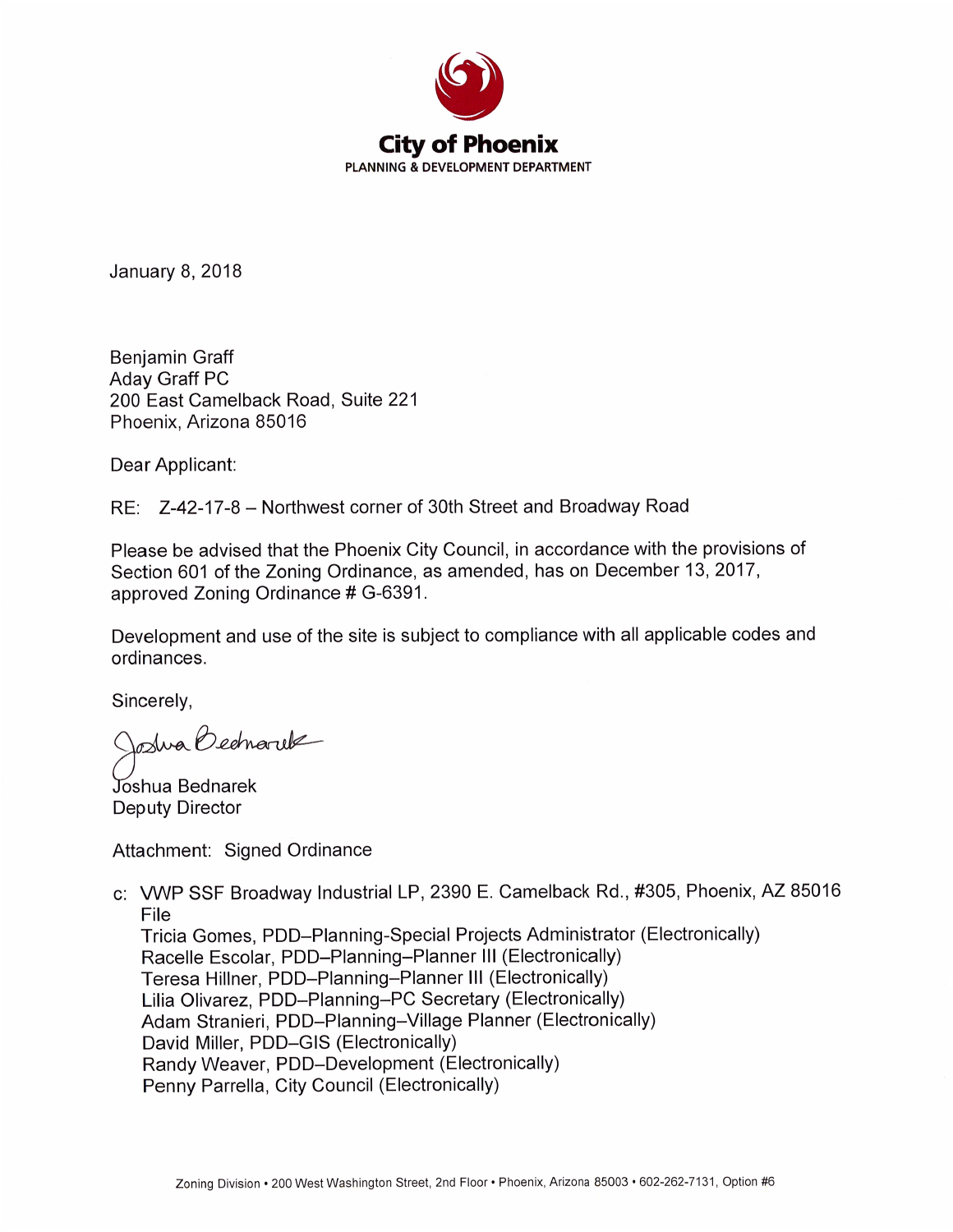

**January 8, 2018** 

Benjamin Graff **Aday Graff PC** 200 East Camelback Road, Suite 221 Phoenix, Arizona 85016

Dear Applicant:

RE: Z-42-17-8 - Northwest corner of 30th Street and Broadway Road

Please be advised that the Phoenix City Council, in accordance with the provisions of Section 601 of the Zoning Ordinance, as amended, has on December 13, 2017, approved Zoning Ordinance # G-6391.

Development and use of the site is subject to compliance with all applicable codes and ordinances.

Sincerely,

Joshua Bednaruk

Joshua Bednarek **Deputy Director** 

Attachment: Signed Ordinance

c: VWP SSF Broadway Industrial LP, 2390 E. Camelback Rd., #305, Phoenix, AZ 85016 File

Tricia Gomes, PDD-Planning-Special Projects Administrator (Electronically) Racelle Escolar, PDD-Planning-Planner III (Electronically) Teresa Hillner, PDD-Planning-Planner III (Electronically) Lilia Olivarez, PDD-Planning-PC Secretary (Electronically) Adam Stranieri, PDD-Planning-Village Planner (Electronically) David Miller, PDD-GIS (Electronically) Randy Weaver, PDD-Development (Electronically) Penny Parrella, City Council (Electronically)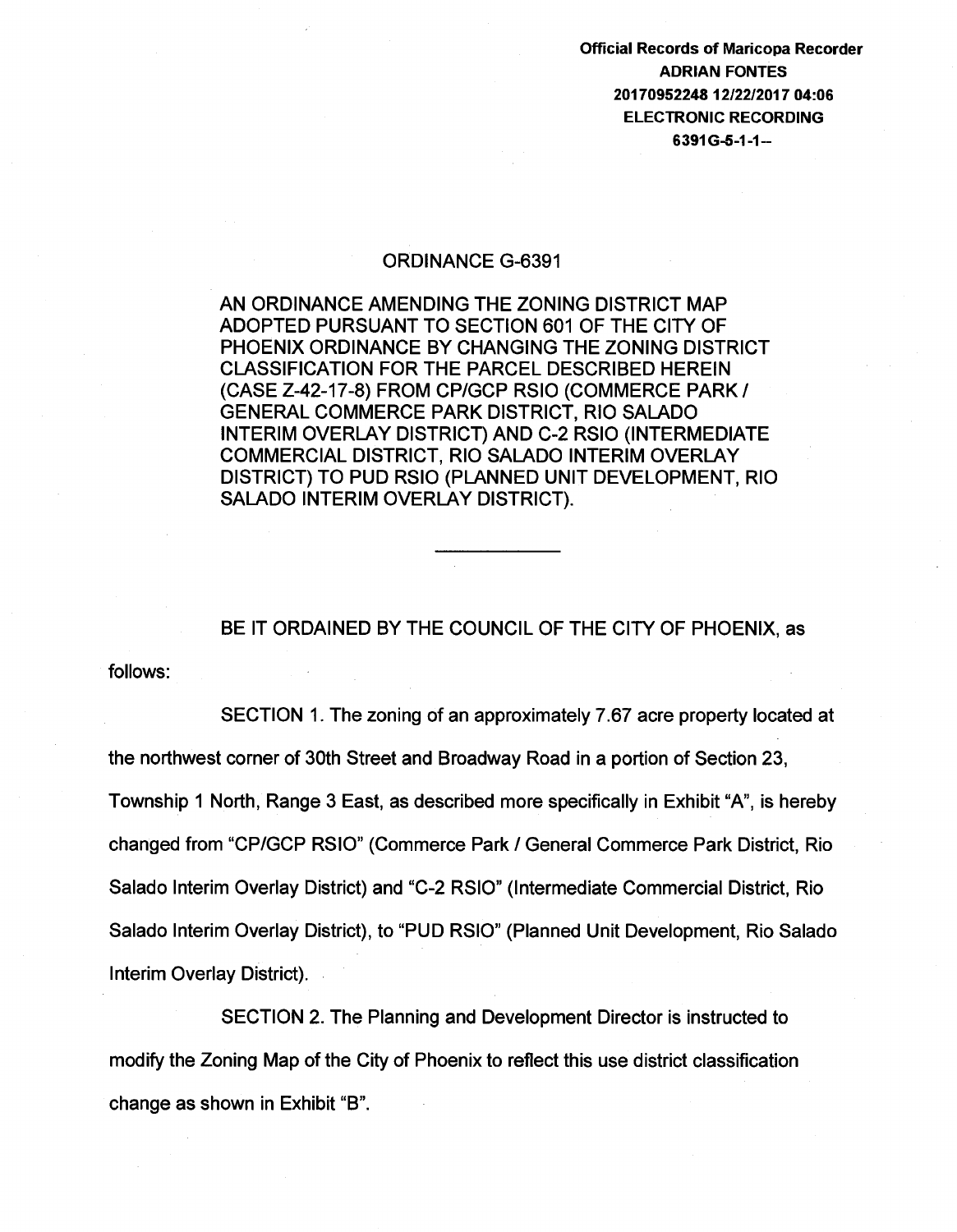Official Records of Maricopa Recorder ADRIAN FONTES 20170952248 12/22/2017 04:06 ELECTRONIC RECORDING 6391 G-5-1-1--

## ORDINANCE G-6391

AN ORDINANCE AMENDING THE ZONING DISTRICT MAP ADOPTED PURSUANT TO SECTION 601 OF THE CITY OF PHOENIX ORDINANCE BY CHANGING THE ZONING DISTRICT CLASSIFICATION FOR THE PARCEL DESCRIBED HEREIN (CASE Z-42-17-8) FROM CPIGCP RSIO (COMMERCE PARK I GENERAL COMMERCE PARK DISTRICT, RIO SALADO INTERIM OVERLAY DISTRICT) AND C-2 RSIO (INTERMEDIATE COMMERCIAL DISTRICT, RIO SALADO INTERIM OVERLAY DISTRICT) TO PUD RSIO (PLANNED UNIT DEVELOPMENT, RIO SALADO INTERIM OVERLAY DISTRICT).

BE IT ORDAINED BY THE COUNCIL OF THE CITY OF PHOENIX, as

follows:

SECTION 1. The zoning of an approximately 7.67 acre property located at the northwest corner of 30th Street and Broadway Road in a portion of Section 23, Township 1 North, Range 3 East, as described more specifically in Exhibit "A", is hereby changed from "CPIGCP RSIO" (Commerce Park I General Commerce Park District, Rio Salado Interim Overlay District) and "C-2 RSIO" (Intermediate Commercial District, Rio Salado Interim Overlay District), to "PUD RSIO" (Planned Unit Development, Rio Salado Interim Overlay District).

SECTION 2. The Planning and Development Director is instructed to modify the Zoning Map of the City of Phoenix to reflect this use district classification change as shown in Exhibit "B".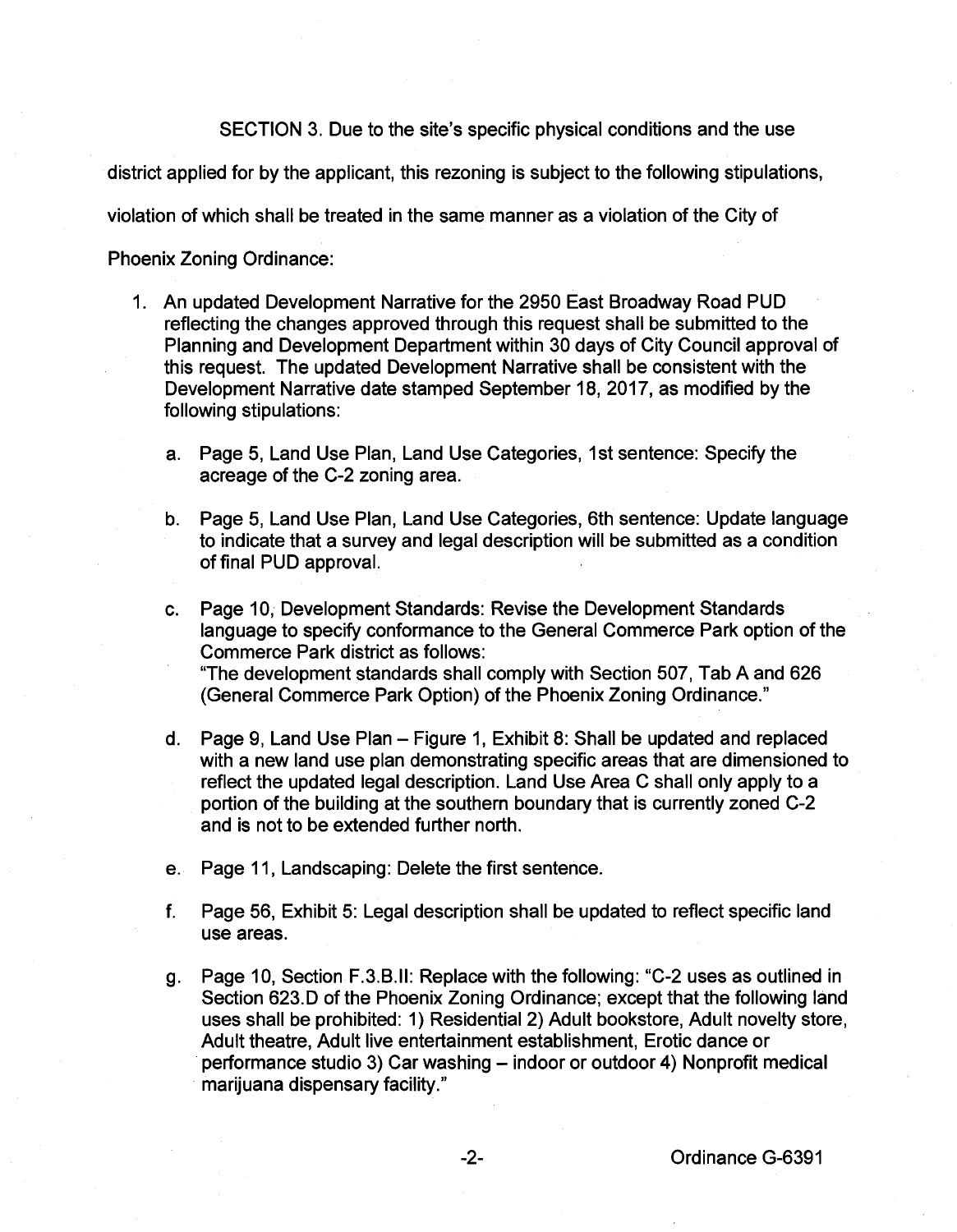SECTION 3. Due to the site's specific physical conditions and the use

district applied for by the applicant, this rezoning is subject to the following stipulations,

violation of which shall be treated in the same manner as a violation of the City of

Phoenix Zoning Ordinance:

- 1. An updated Development Narrative for the 2950 East Broadway Road PUD reflecting the changes approved through this request shall be submitted to the Planning and Development Department within 30 days of City Council approval of this request. The updated Development Narrative shall be consistent with the Development Narrative date stamped September 18, 2017, as modified by the following stipulations:
	- a. Page 5, Land Use Plan, Land Use Categories, 1st sentence: Specify the acreage of the C-2 zoning area.
	- b. Page 5, Land Use Plan, Land Use Categories, 6th sentence: Update language to indicate that a survey and legal description will be submitted as a condition of final PUD approval.
	- c. Page 10, Development Standards: Revise the Development Standards language to specify conformance to the General Commerce Park option of the Commerce Park district as follows: "The development standards shall comply with Section 507, Tab A and 626 (General Commerce Park Option) of the Phoenix Zoning Ordinance."
	- d. Page 9, Land Use Plan Figure 1, Exhibit 8: Shall be updated and replaced with a new land use plan demonstrating specific areas that are dimensioned to reflect the updated legal description. Land Use Area C shall only apply to a portion of the building at the southern boundary that is currently zoned C-2 and is not to be extended further north.
	- e. Page 11, Landscaping: Delete the first sentence.
	- f. Page 56, Exhibit 5: Legal description shall be updated to reflect specific land use areas.
	- g. Page 10, Section F.3.B.II: Replace with the following: "C-2 uses as outlined in Section 623.D of the Phoenix Zoning Ordinance; except that the following land uses shall be prohibited: 1) Residential 2) Adult bookstore, Adult novelty store, Adult theatre, Adult live entertainment establishment, Erotic dance or performance studio 3) Car washing- indoor or outdoor 4) Nonprofit medical marijuana dispensary facility."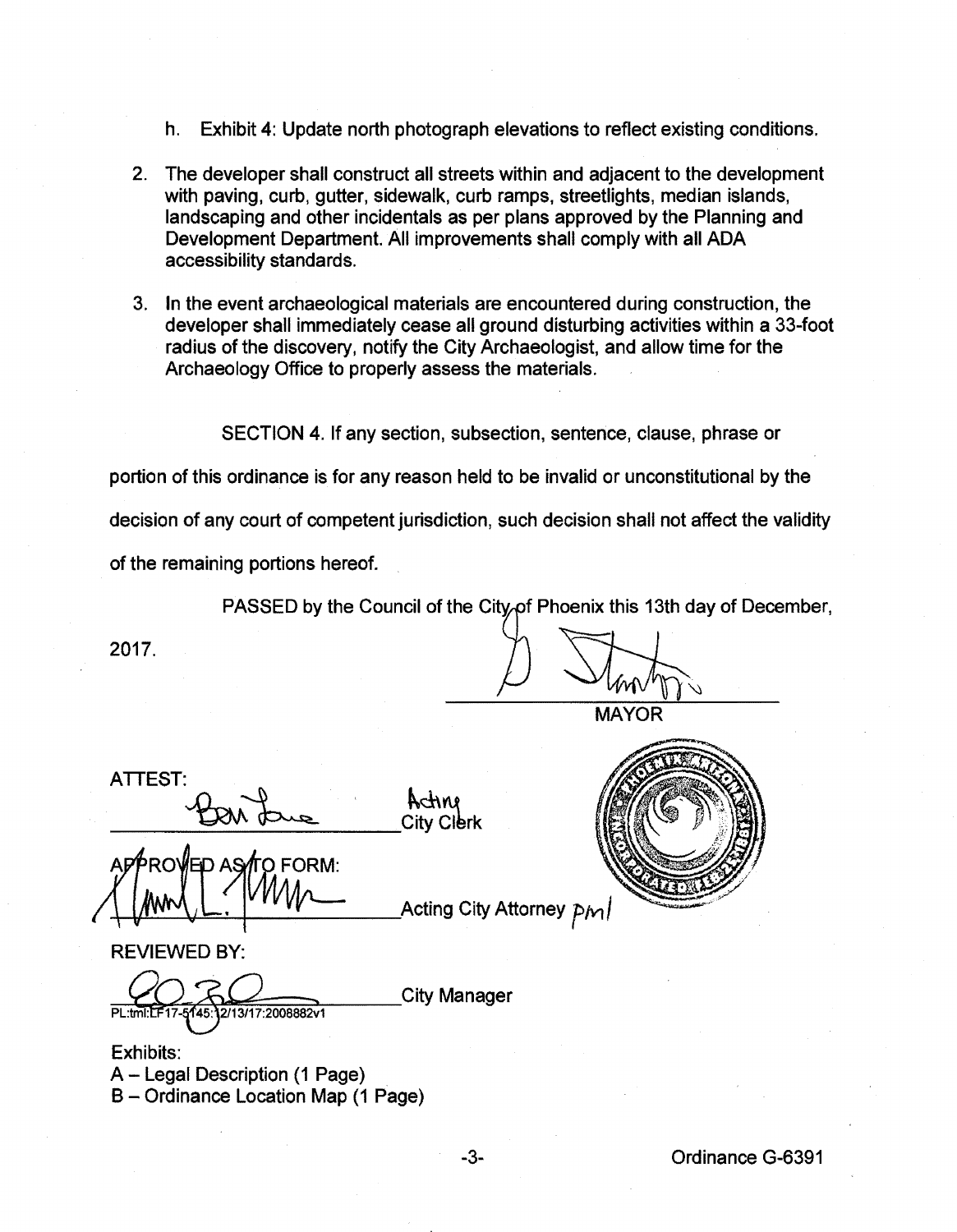- h. Exhibit 4: Update north photograph elevations to reflect existing conditions.
- 2. The developer shall construct all streets within and adjacent to the development with paving, curb, gutter, sidewalk, curb ramps, streetlights, median islands, landscaping and other incidentals as per plans approved by the Planning and Development Department. All improvements shall comply with all ADA accessibility standards.
- 3. In the event archaeological materials are encountered during construction, the developer shall immediately cease all ground disturbing activities within a 33-foot radius of the discovery, notify the City Archaeologist, and allow time for the Archaeology Office to properly assess the materials.

SECTION 4. If any section, subsection, sentence, clause, phrase or

portion of this ordinance is for any reason held to be invalid or unconstitutional by the

decision of any court of competent jurisdiction, such decision shall not affect the validity

of the remaining portions hereof.

PASSED by the Council of the City of Phoenix this 13th day of December,

2017.  $\bigvee$ 

**MAYOR** 

ATTEST:

ATTEST:<br>BON Lue Acting<br>City Clerk

&1~ Acting City Attorney *f1Yt J* 



REVIEWED BY:

145:12/13/17:2008882v1 PL:tml:LF17

Exhibits: A - Legal Description (1 Page) B- Ordinance Location Map (1 Page)

**City Manager**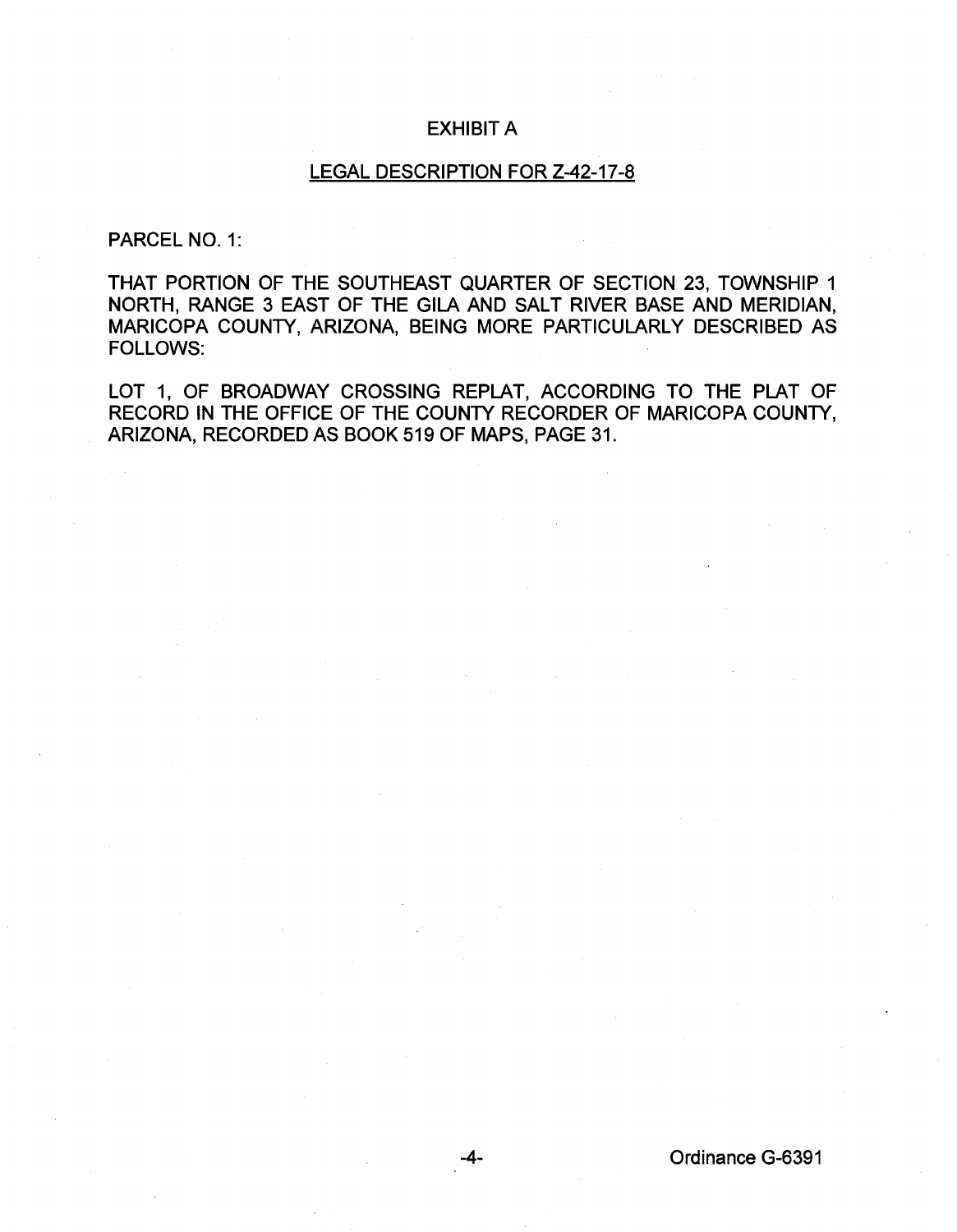## EXHIBIT A

## LEGAL DESCRIPTION FOR Z-42-17-8

## PARCEL NO. 1:

THAT PORTION OF THE SOUTHEAST QUARTER OF SECTION 23, TOWNSHIP 1 NORTH, RANGE 3 EAST OF THE GILA AND SALT RIVER BASE AND MERIDIAN, MARICOPA COUNTY, ARIZONA, BEING MORE PARTICULARLY DESCRIBED AS FOLLOWS:

LOT 1, OF BROADWAY CROSSING REPLAT, ACCORDING TO THE PLAT OF RECORD IN THE OFFICE OF THE COUNTY RECORDER OF MARICOPA COUNTY, ARIZONA, RECORDED AS BOOK 519 OF MAPS, PAGE 31.